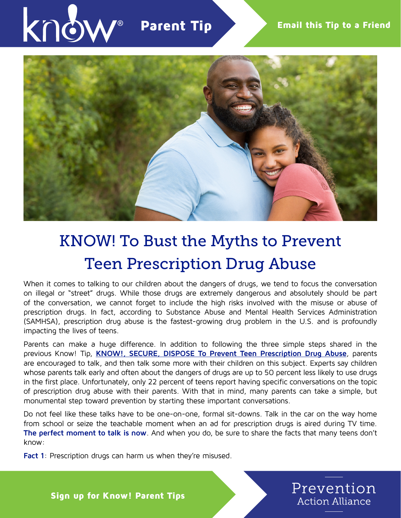



## KNOW! To Bust the Myths to Prevent Teen Prescription Drug Abuse

When it comes to talking to our children about the dangers of drugs, we tend to focus the conversation on illegal or "street" drugs. While those drugs are extremely dangerous and absolutely should be part of the conversation, we cannot forget to include the high risks involved with the misuse or abuse of prescription drugs. In fact, according to Substance Abuse and Mental Health Services Administration (SAMHSA), prescription drug abuse is the fastest-growing drug problem in the U.S. and is profoundly impacting the lives of teens.

Parents can make a huge difference. In addition to following the three simple steps shared in the previous Know! Tip, **[KNOW!, SECURE, DISPOSE To Prevent Teen Prescription Drug Abuse](https://preventionactionalliance.org/advocate/newsletters/know-secure-dispose-to-prevent-teen-prescription-drug-abuse-2/)**, parents are encouraged to talk, and then talk some more with their children on this subject. Experts say children whose parents talk early and often about the dangers of drugs are up to 50 percent less likely to use drugs in the first place. Unfortunately, only 22 percent of teens report having specific conversations on the topic of prescription drug abuse with their parents. With that in mind, many parents can take a simple, but monumental step toward prevention by starting these important conversations.

Do not feel like these talks have to be one-on-one, formal sit-downs. Talk in the car on the way home from school or seize the teachable moment when an ad for prescription drugs is aired during TV time. **The perfect moment to talk is now**. And when you do, be sure to share the facts that many teens don't know:

**Fact 1**: Prescription drugs can harm us when they're misused.

Prevention **Action Alliance** 

Sign up for Know! Parent Tips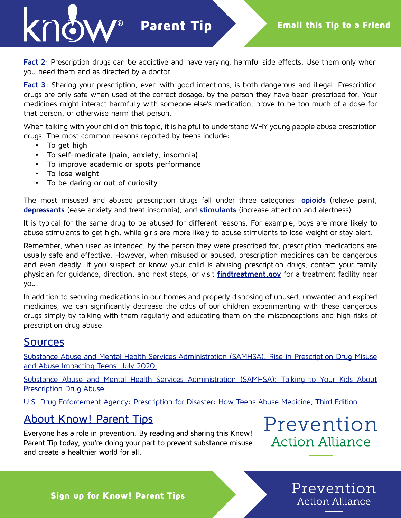Parent Tip

Fact 2: Prescription drugs can be addictive and have varying, harmful side effects. Use them only when you need them and as directed by a doctor.

**Fact 3**: Sharing your prescription, even with good intentions, is both dangerous and illegal. Prescription drugs are only safe when used at the correct dosage, by the person they have been prescribed for. Your medicines might interact harmfully with someone else's medication, prove to be too much of a dose for that person, or otherwise harm that person.

When talking with your child on this topic, it is helpful to understand WHY young people abuse prescription drugs. The most common reasons reported by teens include:

- To get high
- To self-medicate (pain, anxiety, insomnia)
- To improve academic or spots performance
- To lose weight
- To be daring or out of curiosity

The most misused and abused prescription drugs fall under three categories: **opioids** (relieve pain), **depressants** (ease anxiety and treat insomnia), and **stimulants** (increase attention and alertness).

It is typical for the same drug to be abused for different reasons. For example, boys are more likely to abuse stimulants to get high, while girls are more likely to abuse stimulants to lose weight or stay alert.

Remember, when used as intended, by the person they were prescribed for, prescription medications are usually safe and effective. However, when misused or abused, prescription medicines can be dangerous and even deadly. If you suspect or know your child is abusing prescription drugs, contact your family physician for guidance, direction, and next steps, or visit **[findtreatment.gov](https://findtreatment.gov/)** for a treatment facility near you.

In addition to securing medications in our homes and properly disposing of unused, unwanted and expired medicines, we can significantly decrease the odds of our children experimenting with these dangerous drugs simply by talking with them regularly and educating them on the misconceptions and high risks of prescription drug abuse.

## Sources

[Substance Abuse and Mental Health Services Administration \(SAMHSA\): Rise in Prescription Drug Misuse](https://www.samhsa.gov/homelessness-programs-resources/hpr-resources/teen-prescription-drug-misuse-abuse) [and Abuse Impacting Teens. July 2020.](https://www.samhsa.gov/homelessness-programs-resources/hpr-resources/teen-prescription-drug-misuse-abuse)

[Substance Abuse and Mental Health Services Administration \(SAMHSA\): Talking to Your Kids About](https://store.samhsa.gov/sites/default/files/d7/priv/sma12-4676b1.pdf) [Prescription Drug Abuse.](https://store.samhsa.gov/sites/default/files/d7/priv/sma12-4676b1.pdf)

U.S. Drug Enforcement Agency: Prescription for Disaster: How Teens Abuse Medicine, Third Edition.

## About Know! Parent Tips

Everyone has a role in prevention. By reading and sharing this Know! Parent Tip today, you're doing your part to prevent substance misuse and create a healthier world for all.

Prevention **Action Alliance** 

Prevention

**Action Alliance**